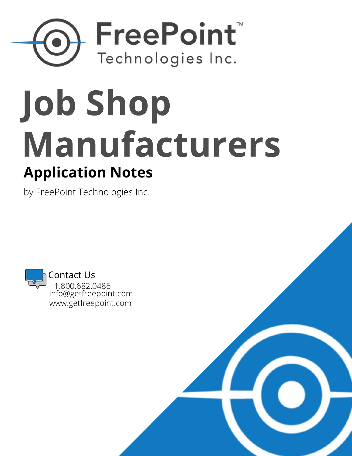## FreePoint Technologies Inc.

# **Application Notes JobShop Manufacturers**

by FreePoint Technologies Inc.

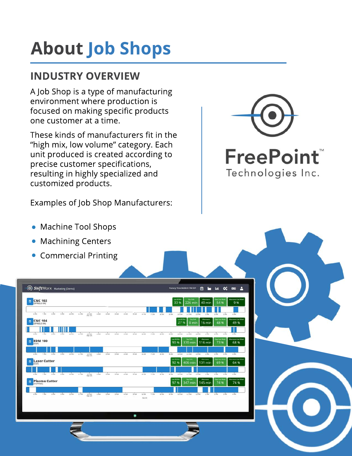### **About Job Shops**

#### **INDUSTRY OVERVIEW**

A Job Shop is a type of manufacturing environment where production is focused on making specific products one customer at a time.

These kinds of manufacturers fit in the "high mix, low volume" category. Each unit produced is created according to precise customer specifications, resulting in highly specialized and customized products.

Examples of Job Shop Manufacturers:



| <b>Machine Tool Shops</b><br>$\bullet$                                                                |                                                                                                                                   |  |
|-------------------------------------------------------------------------------------------------------|-----------------------------------------------------------------------------------------------------------------------------------|--|
| <b>Machining Centers</b><br>$\bullet$                                                                 |                                                                                                                                   |  |
| • Commercial Printing                                                                                 |                                                                                                                                   |  |
|                                                                                                       |                                                                                                                                   |  |
|                                                                                                       |                                                                                                                                   |  |
| ShiftWOrX Marketing [Demo]                                                                            | <b>A N M 文 00 A</b><br>Factory Time 04:30:31 PM EDT                                                                               |  |
| CNC 102                                                                                               | aut 60 Min<br>Day 258<br><b>dternoons Last Week</b><br>Attentions<br>33%<br>226 min 40 min<br>54 %<br>9 %                         |  |
| G.PM. 7 PM<br>2 AM 2 AM<br><b>GAM</b><br>0.754<br>0 PM<br>10.0%<br>$12.4M$<br>Sec-20<br>1AM<br>11, PM | SAN CAN TAN SAN SAN<br>10.AM<br>3.09<br>15 AM<br>12.094<br><b>S.PM</b><br>2.0M                                                    |  |
| <b>CNC 104</b><br>曲<br>SPINDLE ON)                                                                    | Leat 60 May<br><b>Merroons</b><br>en Last We<br>terroons Last Week<br>Day Stift<br>27 %<br>48 %<br>49 %<br>$0 \text{ min}$ 16 min |  |
| e Pot.<br>7 PM 8 PM<br>9 PM 30 PM 11 PM<br>12.436<br>$1$ AM<br>$2 \text{ AM}$<br>3 AM<br>6000<br>S AM | 2.996<br>6.034<br>$2$ AM<br>8 AM<br>9 AM 10 AM<br>11-AM<br>12.014<br>5.298<br>3.196<br>A PM                                       |  |
| $\bigoplus_{f \in U}$ EDM 100                                                                         | Atempora Last Week<br>act 60 Min<br>Day Stift<br>Absencers<br>ays Last Wee<br>90 %<br>370 min 116 min<br>73 %<br>68 %             |  |
| $6598$ , 7 PM 8 9 PM 10 PM 11 PM 12 AM 1 AM 2 AM 4 AM                                                 | SAM CAN TAN BAN DAM LOAN<br><b>LEAM</b><br>12 PM<br>2 P M<br>LPM<br>3 P M<br>4 P M                                                |  |
| <b>Laser Cutter</b><br>曲                                                                              | Day Suit<br>aus Last Wie<br>est 60 Mar<br><b>Allernaurs</b><br>Morroons Last Week<br>92 %<br>406 min   131 min  <br>69%<br>64 %   |  |
| 2.0M 8.0M 9.0M<br>101N 111N 12AM 1AM 2AM 3AM 4AM<br>$5 - 10$<br>6.996                                 | 6 AM FAM BAM<br>9 AM 10 AM 11 AM 12 PM<br>1.096<br>2.0M<br>$= 0.94$<br>3.194                                                      |  |
| <b>Plasma Cutter</b><br>首<br>(CUTTING)                                                                | Day Shift<br>eyn Last Wee<br>Atternaona Last Week<br>ast 60 Min<br>Abernoora<br>74 %<br>97%<br>347 min<br>145 min<br>74 %         |  |
| CON TON GON DON 100N 11PM 12AM 1AM 2AM 3AM 4AM<br>5 AM                                                | SAM DAN 10AM 11AM 12PM 1PM 2PM 3PM 4PM<br>6 AM<br>7 AM                                                                            |  |
|                                                                                                       | $560-20$                                                                                                                          |  |
| ٠                                                                                                     |                                                                                                                                   |  |
|                                                                                                       |                                                                                                                                   |  |
|                                                                                                       |                                                                                                                                   |  |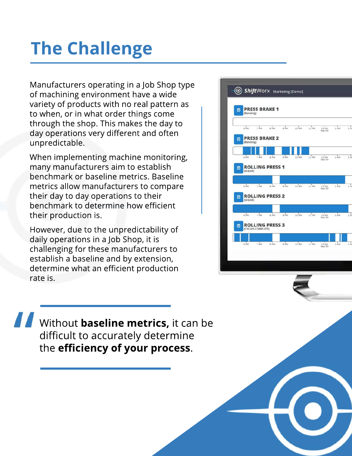### **The Challenge**

Manufacturers operating in a Job Shop type of machining environment have a wide variety of products with no real pattern as to when, or in what order things come through the shop. This makes the day to day operations very different and often unpredictable.

When implementing machine monitoring, many manufacturers aim to establish benchmark or baseline metrics. Baseline metrics allow manufacturers to compare their day to day operations to their benchmark to determine how efficient their production is.

However, due to the unpredictability of daily operations in a Job Shop, it is challenging for these manufacturers to establish a baseline and by extension, determine what an efficient production rate is.



Without **baseline metrics,** it can be difficult to accurately determine the **efficiency of your process**.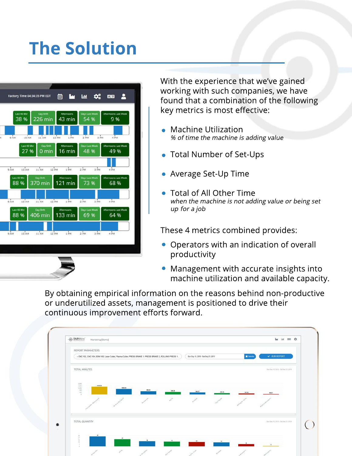#### **The Solution**



With the experience that we've gained working with such companies, we have found that a combination of the following key metrics is most effective:

- $\bullet$  Machine Utilization % of time the machine is adding value
- **Total Number of Set-Ups**
- Average Set-Up Time
- Total of All Other Time when the machine is not adding value or being set up for a job

These 4 metrics combined provides:

- Operators with an indication of overall productivity
- Management with accurate insights into machine utilization and available capacity.

By obtaining empirical information on the reasons behind non-productive or underutilized assets, management is positioned to drive their continuous improvement efforts forward.